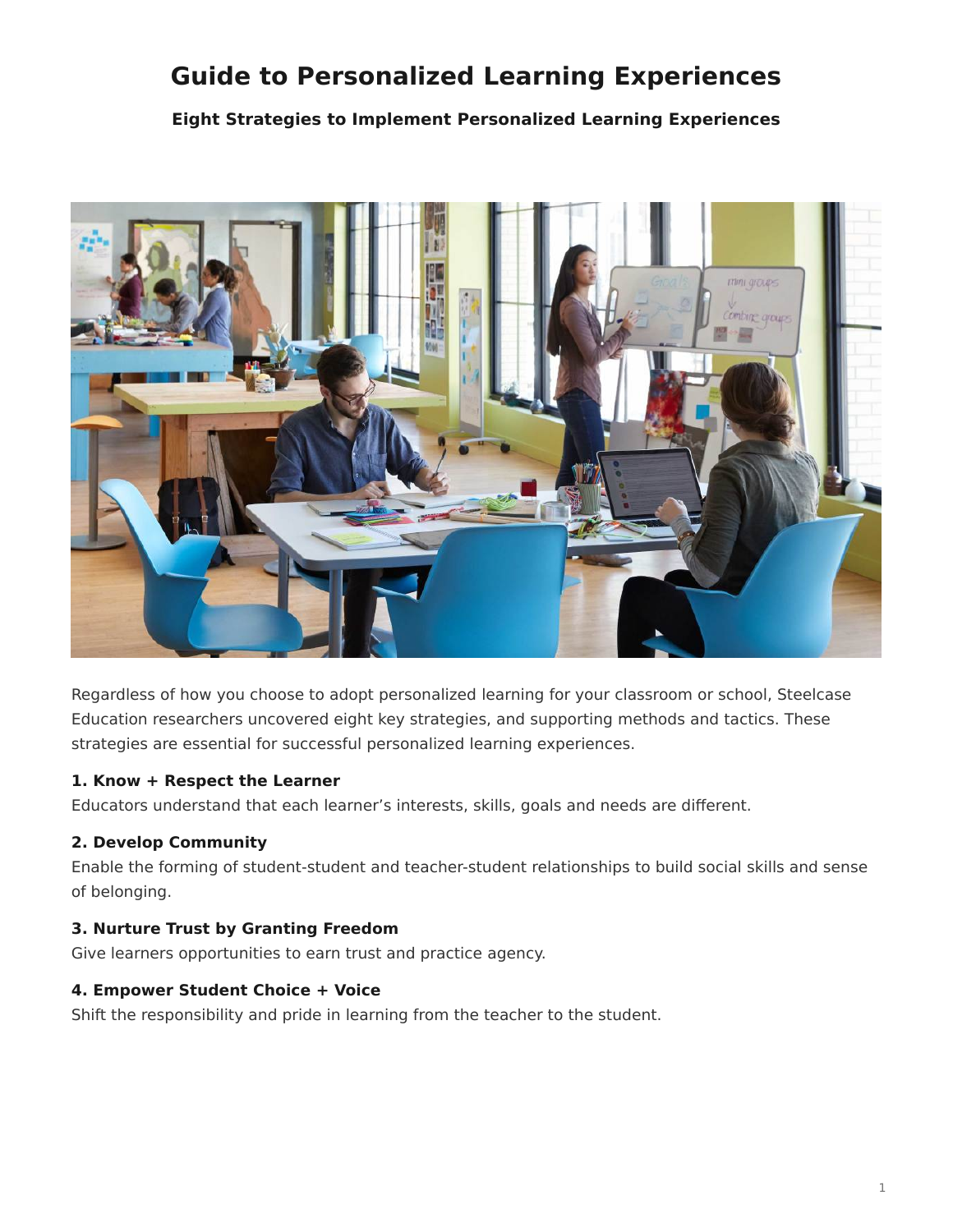# <span id="page-0-0"></span>**Guide to Personalized Learning Experiences**

**Eight Strategies to Implement Personalized Learning Experiences**



Regardless of how you choose to adopt personalized learning for your classroom or school, Steelcase Education researchers uncovered eight key strategies, and supporting methods and tactics. These strategies are essential for successful personalized learning experiences.

# **1. Know + Respect the Learner**

Educators understand that each learner's interests, skills, goals and needs are different.

# **2. Develop Community**

Enable the forming of student-student and teacher-student relationships to build social skills and sense of belonging.

## **3. Nurture Trust by Granting Freedom**

Give learners opportunities to earn trust and practice agency.

## **4. Empower Student Choice + Voice**

Shift the responsibility and pride in learning from the teacher to the student.